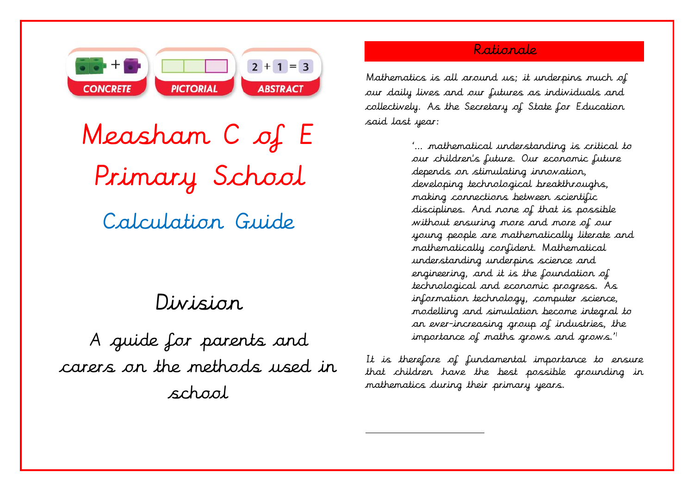

Measham C of E Primary School Calculation Guide

# Division

A guide for parents and carers on the methods used in school

# Rationale

Mathematics is all around us; it underpins much of our daily lives and our futures as individuals and collectively. As the Secretary of State for Education said last year:

> '… mathematical understanding is critical to our children's future. Our economic future depends on stimulating innovation, developing technological breakthroughs, making connections between scientific disciplines. And none of that is possible without ensuring more and more of our young people are mathematically literate and mathematically confident. Mathematical understanding underpins science and engineering, and it is the foundation of technological and economic progress. As information technology, computer science, modelling and simulation become integral to an ever-increasing group of industries, the importance of maths grows and grows."

It is therefore of fundamental importance to ensure that children have the best possible grounding in mathematics during their primary years.

 $\overline{a}$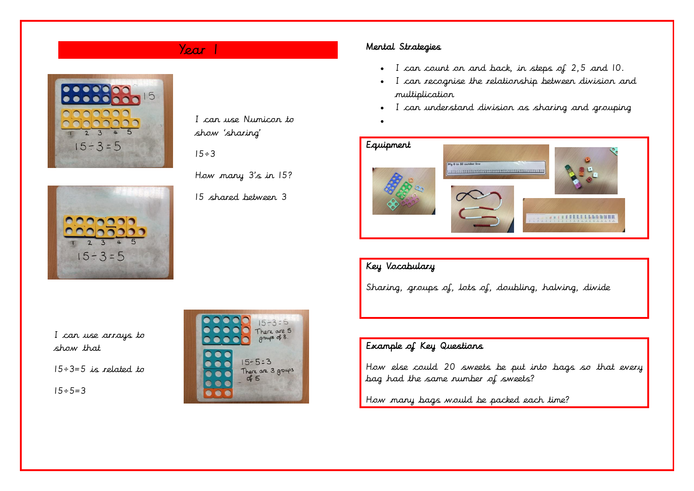

I can use Numicon to show 'sharing'

 $15 \div 3$ 

How many 3's in 15?

15 shared between 3

# Year 1 Mental Strategies

- I can count on and back, in steps of 2,5 and 10.
- I can recognise the relationship between division and multiplication
- I can understand division as sharing and grouping
- •



# Key Vocabulary

Sharing, groups of, lots of, doubling, halving, divide

I can use arrays to show that

 $15 \div 3 = 5$  is related to

 $15 \div 5 = 3$ 



# Example of Key Questions

How else could 20 sweets be put into bags so that every bag had the same number of sweets?

How many bags would be packed each time?

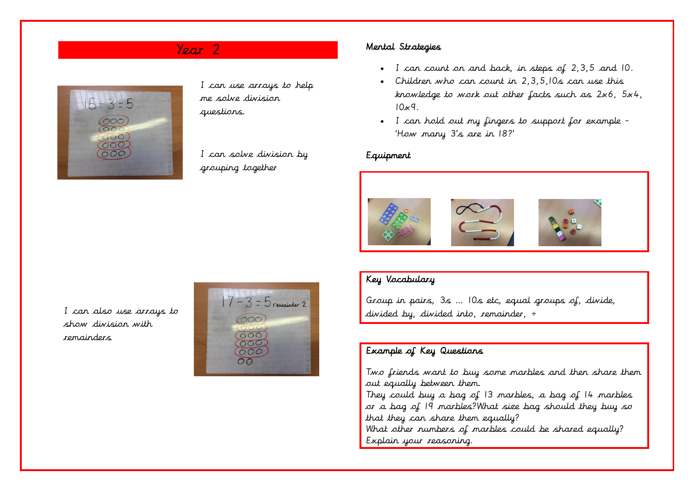

I can use arrays to help me solve division questions.

I can solve division by grouping together

# Year 2 Mental Strategies

- I can count on and back, in steps of 2,3,5 and 10.
- Children who can count in 2,3,5,10s can use this knowledge to work out other facts such as 2x6, 5x4,  $10x9$ .
- I can hold out my fingers to support for example 'How many 3's are in 18?'

#### Equipment



# Key Vocabulary

Group in pairs, 3s … 10s etc, equal groups of, divide, divided by, divided into, remainder, ÷

### Example of Key Questions

Two friends want to buy some marbles and then share them out equally between them.

They could buy a bag of 13 marbles, a bag of 14 marbles or a bag of 19 marbles?What size bag should they buy so that they can share them equally?

What other numbers of marbles could be shared equally? Explain your reasoning.

I can also use arrays to show division with remainders

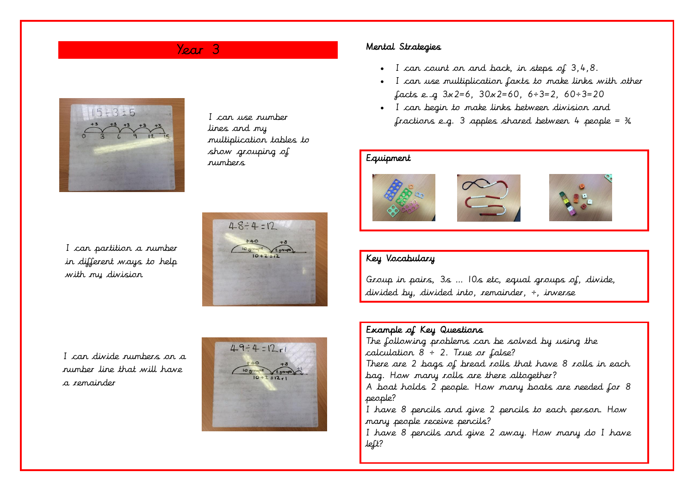

I can use number lines and my multiplication tables to show grouping of numbers

I can partition a number in different ways to help with my division



I can divide numbers on a number line that will have a remainder



## Year 3 Mental Strategies

- I can count on and back, in steps of 3,4,8.
- I can use multiplication faxts to make links with other facts e.g  $3x2=6$ ,  $30x2=60$ ,  $6 \div 3=2$ ,  $60 \div 3=20$
- I can begin to make links between division and fractions e.g. 3 apples shared between 4 people =  $\frac{3}{4}$

#### Equipment







# Key Vocabulary

Group in pairs, 3s … 10s etc, equal groups of, divide, divided by, divided into, remainder, ÷, inverse

### Example of Key Questions The following problems can be solved by using the calculation  $8 \div 2$ . True or false? There are 2 bags of bread rolls that have 8 rolls in each bag. How many rolls are there altogether? A boat holds 2 people. How many boats are needed for 8 people? I have 8 pencils and give 2 pencils to each person. How many people receive pencils? I have 8 pencils and give 2 away. How many do I have left?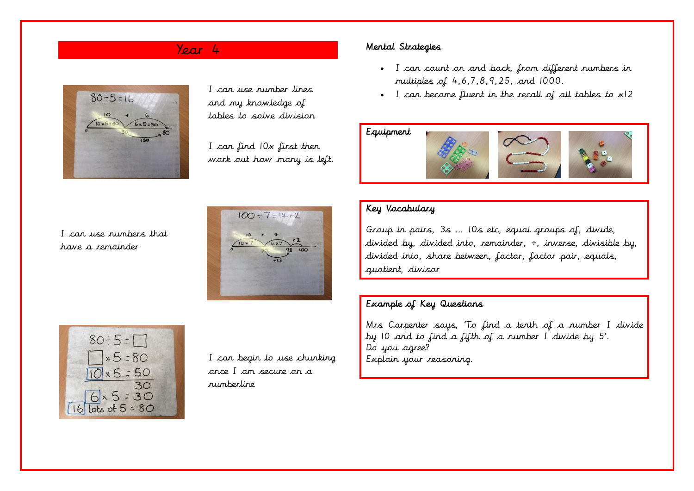

I can use number lines and my knowledge of tables to solve division

I can find 10x first then work out how many is left.

# Year 4 Mental Strategies

- I can count on and back, from different numbers in multiples of 4,6,7,8,9,25, and 1000.
- I can become fluent in the recall of all tables to x12

## Equipment



I can use numbers that have a remainder





I can begin to use chunking once I am secure on a numberline

# Key Vocabulary

Group in pairs, 3s … 10s etc, equal groups of, divide, divided by, divided into, remainder,  $\div$ , inverse, divisible by, divided into, share between, factor, factor pair, equals, quotient, divisor

### Example of Key Questions

Mrs Carpenter says, 'To find a tenth of a number I divide by 10 and to find a fifth of a number I divide by 5'. Do you agree? Explain your reasoning.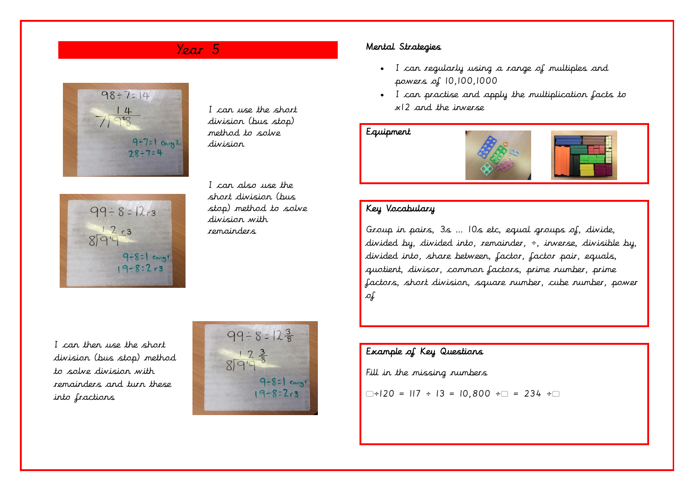# Year 5



I can use the short division (bus stop) method to solve division



I can also use the short division (bus stop) method to solve division with remainders

#### Mental Strategies

- I can regularly using a range of multiples and powers of 10,100,1000
- I can practise and apply the multiplication facts to x12 and the inverse

#### Equipment



# Key Vocabulary

Group in pairs, 3s … 10s etc, equal groups of, divide, divided by, divided into, remainder, ÷, inverse, divisible by, divided into, share between, factor, factor pair, equals, quotient, divisor, common factors, prime number, prime factors, short division, square number, cube number, power of

I can then use the short division (bus stop) method to solve division with remainders and turn these into fractions



# Example of Key Questions

Fill in the missing numbers

 $\Box \div 120 = 117 \div 13 = 10,800 \div \Box = 234 \div \Box$